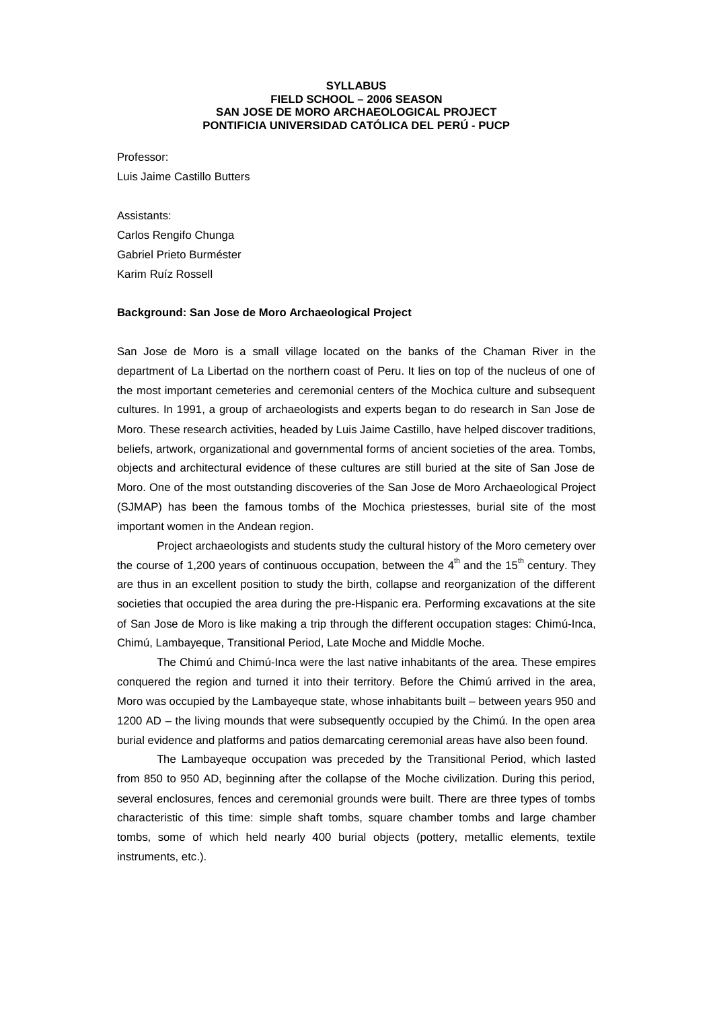## **SYLLABUS FIELD SCHOOL – 2006 SEASON SAN JOSE DE MORO ARCHAEOLOGICAL PROJECT PONTIFICIA UNIVERSIDAD CATÓLICA DEL PERÚ - PUCP**

Professor:

Luis Jaime Castillo Butters

Assistants:

Carlos Rengifo Chunga Gabriel Prieto Burméster Karim Ruíz Rossell

#### **Background: San Jose de Moro Archaeological Project**

San Jose de Moro is a small village located on the banks of the Chaman River in the department of La Libertad on the northern coast of Peru. It lies on top of the nucleus of one of the most important cemeteries and ceremonial centers of the Mochica culture and subsequent cultures. In 1991, a group of archaeologists and experts began to do research in San Jose de Moro. These research activities, headed by Luis Jaime Castillo, have helped discover traditions, beliefs, artwork, organizational and governmental forms of ancient societies of the area. Tombs, objects and architectural evidence of these cultures are still buried at the site of San Jose de Moro. One of the most outstanding discoveries of the San Jose de Moro Archaeological Project (SJMAP) has been the famous tombs of the Mochica priestesses, burial site of the most important women in the Andean region.

Project archaeologists and students study the cultural history of the Moro cemetery over the course of 1,200 years of continuous occupation, between the  $4<sup>th</sup>$  and the 15<sup>th</sup> century. They are thus in an excellent position to study the birth, collapse and reorganization of the different societies that occupied the area during the pre-Hispanic era. Performing excavations at the site of San Jose de Moro is like making a trip through the different occupation stages: Chimú-Inca, Chimú, Lambayeque, Transitional Period, Late Moche and Middle Moche.

The Chimú and Chimú-Inca were the last native inhabitants of the area. These empires conquered the region and turned it into their territory. Before the Chimú arrived in the area, Moro was occupied by the Lambayeque state, whose inhabitants built – between years 950 and 1200 AD – the living mounds that were subsequently occupied by the Chimú. In the open area burial evidence and platforms and patios demarcating ceremonial areas have also been found.

The Lambayeque occupation was preceded by the Transitional Period, which lasted from 850 to 950 AD, beginning after the collapse of the Moche civilization. During this period, several enclosures, fences and ceremonial grounds were built. There are three types of tombs characteristic of this time: simple shaft tombs, square chamber tombs and large chamber tombs, some of which held nearly 400 burial objects (pottery, metallic elements, textile instruments, etc.).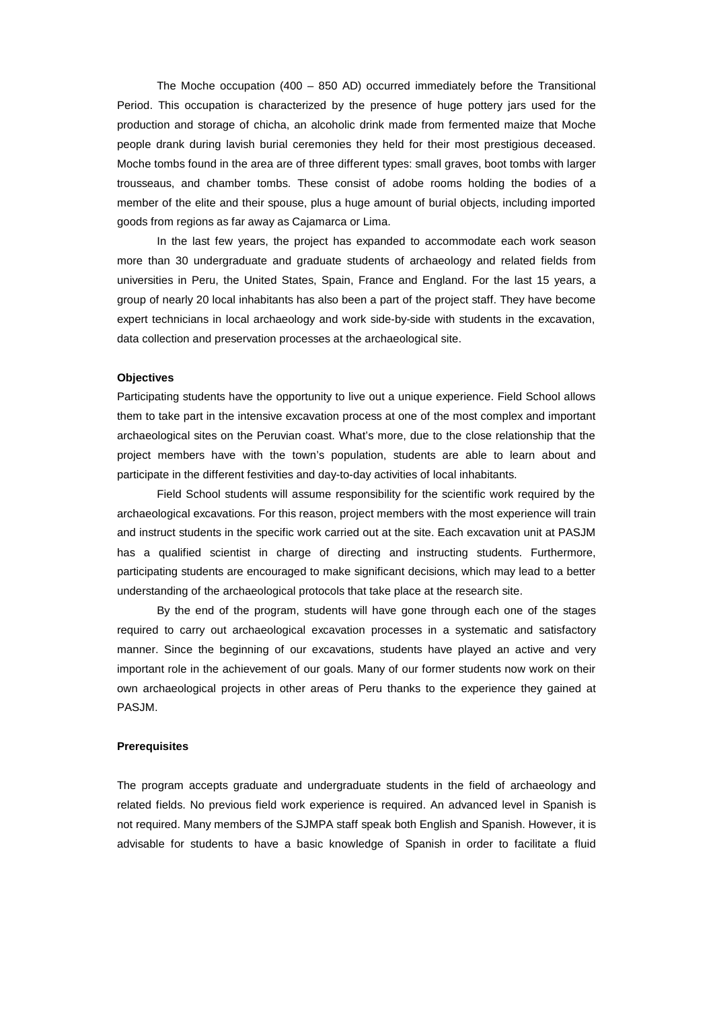The Moche occupation (400 – 850 AD) occurred immediately before the Transitional Period. This occupation is characterized by the presence of huge pottery jars used for the production and storage of chicha, an alcoholic drink made from fermented maize that Moche people drank during lavish burial ceremonies they held for their most prestigious deceased. Moche tombs found in the area are of three different types: small graves, boot tombs with larger trousseaus, and chamber tombs. These consist of adobe rooms holding the bodies of a member of the elite and their spouse, plus a huge amount of burial objects, including imported goods from regions as far away as Cajamarca or Lima.

In the last few years, the project has expanded to accommodate each work season more than 30 undergraduate and graduate students of archaeology and related fields from universities in Peru, the United States, Spain, France and England. For the last 15 years, a group of nearly 20 local inhabitants has also been a part of the project staff. They have become expert technicians in local archaeology and work side-by-side with students in the excavation, data collection and preservation processes at the archaeological site.

## **Objectives**

Participating students have the opportunity to live out a unique experience. Field School allows them to take part in the intensive excavation process at one of the most complex and important archaeological sites on the Peruvian coast. What's more, due to the close relationship that the project members have with the town's population, students are able to learn about and participate in the different festivities and day-to-day activities of local inhabitants.

Field School students will assume responsibility for the scientific work required by the archaeological excavations. For this reason, project members with the most experience will train and instruct students in the specific work carried out at the site. Each excavation unit at PASJM has a qualified scientist in charge of directing and instructing students. Furthermore, participating students are encouraged to make significant decisions, which may lead to a better understanding of the archaeological protocols that take place at the research site.

By the end of the program, students will have gone through each one of the stages required to carry out archaeological excavation processes in a systematic and satisfactory manner. Since the beginning of our excavations, students have played an active and very important role in the achievement of our goals. Many of our former students now work on their own archaeological projects in other areas of Peru thanks to the experience they gained at PASJM.

#### **Prerequisites**

The program accepts graduate and undergraduate students in the field of archaeology and related fields. No previous field work experience is required. An advanced level in Spanish is not required. Many members of the SJMPA staff speak both English and Spanish. However, it is advisable for students to have a basic knowledge of Spanish in order to facilitate a fluid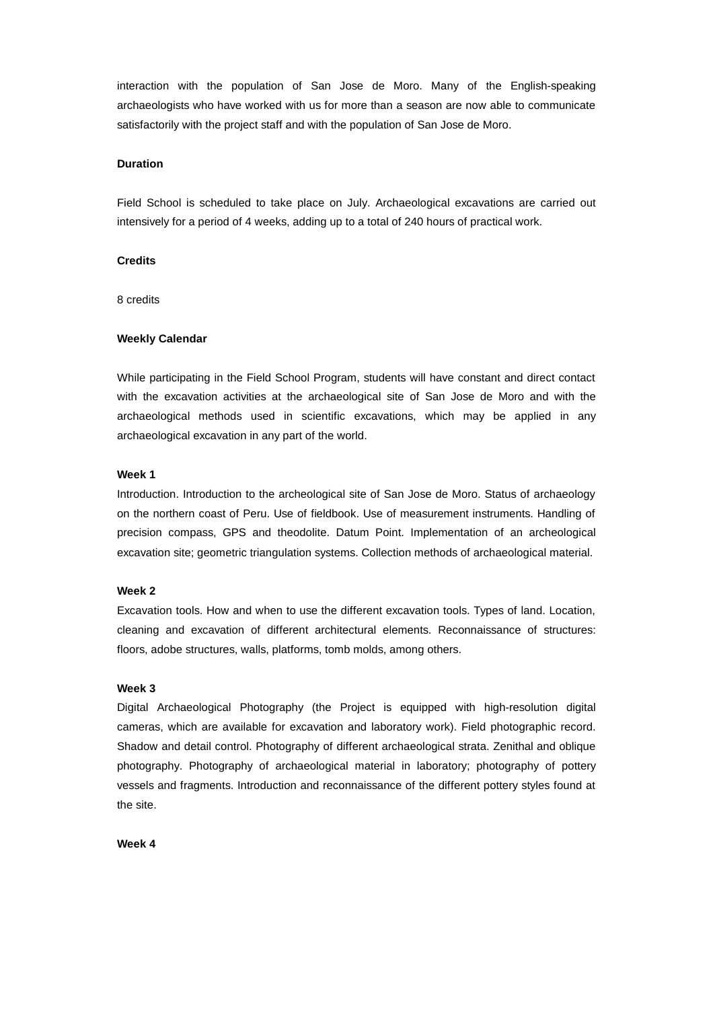interaction with the population of San Jose de Moro. Many of the English-speaking archaeologists who have worked with us for more than a season are now able to communicate satisfactorily with the project staff and with the population of San Jose de Moro.

## **Duration**

Field School is scheduled to take place on July. Archaeological excavations are carried out intensively for a period of 4 weeks, adding up to a total of 240 hours of practical work.

# **Credits**

8 credits

## **Weekly Calendar**

While participating in the Field School Program, students will have constant and direct contact with the excavation activities at the archaeological site of San Jose de Moro and with the archaeological methods used in scientific excavations, which may be applied in any archaeological excavation in any part of the world.

#### **Week 1**

Introduction. Introduction to the archeological site of San Jose de Moro. Status of archaeology on the northern coast of Peru. Use of fieldbook. Use of measurement instruments. Handling of precision compass, GPS and theodolite. Datum Point. Implementation of an archeological excavation site; geometric triangulation systems. Collection methods of archaeological material.

#### **Week 2**

Excavation tools. How and when to use the different excavation tools. Types of land. Location, cleaning and excavation of different architectural elements. Reconnaissance of structures: floors, adobe structures, walls, platforms, tomb molds, among others.

# **Week 3**

Digital Archaeological Photography (the Project is equipped with high-resolution digital cameras, which are available for excavation and laboratory work). Field photographic record. Shadow and detail control. Photography of different archaeological strata. Zenithal and oblique photography. Photography of archaeological material in laboratory; photography of pottery vessels and fragments. Introduction and reconnaissance of the different pottery styles found at the site.

#### **Week 4**